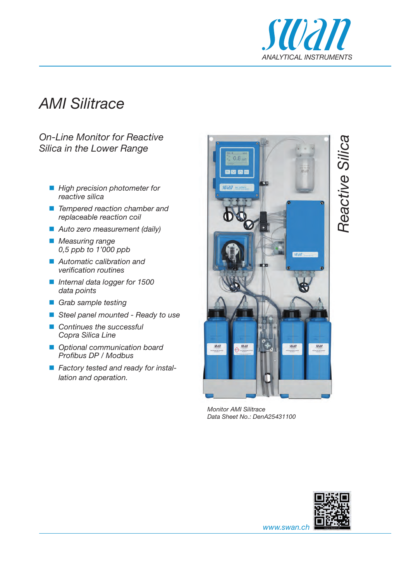

# *AMI Silitrace*

### *On-Line Monitor for Reactive Silica in the Lower Range*

- **High precision photometer for** *reactive silica*
- *Tempered reaction chamber and replaceable reaction coil*
- *Auto zero measurement (daily)*
- *Measuring range 0,5 ppb to 1'000 ppb*
- *Automatic calibration and verification routines*
- *Internal data logger for 1500 data points*
- *Grab sample testing*
- *Steel panel mounted Ready to use*
- *Continues the successful Copra Silica Line*
- *Optional communication board Profibus DP / Modbus*
- *Factory tested and ready for installation and operation.*



*Monitor AMI Silitrace Data Sheet No.: DenA25431100*



Reactive Silica *Reactive Silica*

*www.swan.ch*